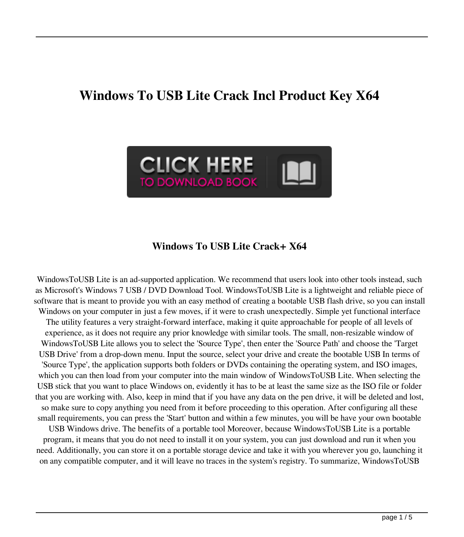# **Windows To USB Lite Crack Incl Product Key X64**



### **Windows To USB Lite Crack+ X64**

WindowsToUSB Lite is an ad-supported application. We recommend that users look into other tools instead, such as Microsoft's Windows 7 USB / DVD Download Tool. WindowsToUSB Lite is a lightweight and reliable piece of software that is meant to provide you with an easy method of creating a bootable USB flash drive, so you can install Windows on your computer in just a few moves, if it were to crash unexpectedly. Simple yet functional interface The utility features a very straight-forward interface, making it quite approachable for people of all levels of experience, as it does not require any prior knowledge with similar tools. The small, non-resizable window of WindowsToUSB Lite allows you to select the 'Source Type', then enter the 'Source Path' and choose the 'Target USB Drive' from a drop-down menu. Input the source, select your drive and create the bootable USB In terms of 'Source Type', the application supports both folders or DVDs containing the operating system, and ISO images, which you can then load from your computer into the main window of WindowsToUSB Lite. When selecting the USB stick that you want to place Windows on, evidently it has to be at least the same size as the ISO file or folder that you are working with. Also, keep in mind that if you have any data on the pen drive, it will be deleted and lost, so make sure to copy anything you need from it before proceeding to this operation. After configuring all these small requirements, you can press the 'Start' button and within a few minutes, you will be have your own bootable USB Windows drive. The benefits of a portable tool Moreover, because WindowsToUSB Lite is a portable program, it means that you do not need to install it on your system, you can just download and run it when you need. Additionally, you can store it on a portable storage device and take it with you wherever you go, launching it

on any compatible computer, and it will leave no traces in the system's registry. To summarize, WindowsToUSB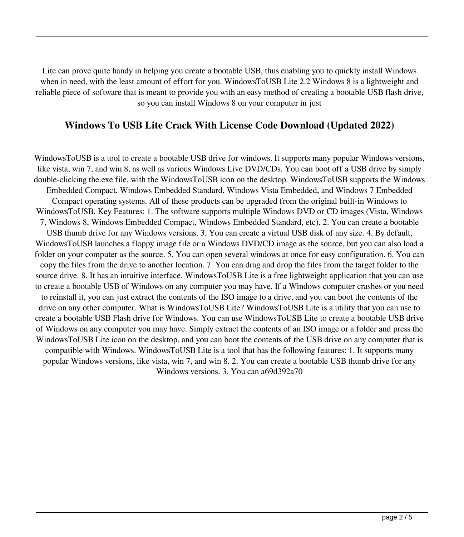Lite can prove quite handy in helping you create a bootable USB, thus enabling you to quickly install Windows when in need, with the least amount of effort for you. WindowsToUSB Lite 2.2 Windows 8 is a lightweight and reliable piece of software that is meant to provide you with an easy method of creating a bootable USB flash drive, so you can install Windows 8 on your computer in just

### **Windows To USB Lite Crack With License Code Download (Updated 2022)**

WindowsToUSB is a tool to create a bootable USB drive for windows. It supports many popular Windows versions, like vista, win 7, and win 8, as well as various Windows Live DVD/CDs. You can boot off a USB drive by simply double-clicking the.exe file, with the WindowsToUSB icon on the desktop. WindowsToUSB supports the Windows Embedded Compact, Windows Embedded Standard, Windows Vista Embedded, and Windows 7 Embedded Compact operating systems. All of these products can be upgraded from the original built-in Windows to WindowsToUSB. Key Features: 1. The software supports multiple Windows DVD or CD images (Vista, Windows 7, Windows 8, Windows Embedded Compact, Windows Embedded Standard, etc). 2. You can create a bootable USB thumb drive for any Windows versions. 3. You can create a virtual USB disk of any size. 4. By default, WindowsToUSB launches a floppy image file or a Windows DVD/CD image as the source, but you can also load a folder on your computer as the source. 5. You can open several windows at once for easy configuration. 6. You can copy the files from the drive to another location. 7. You can drag and drop the files from the target folder to the source drive. 8. It has an intuitive interface. WindowsToUSB Lite is a free lightweight application that you can use to create a bootable USB of Windows on any computer you may have. If a Windows computer crashes or you need to reinstall it, you can just extract the contents of the ISO image to a drive, and you can boot the contents of the drive on any other computer. What is WindowsToUSB Lite? WindowsToUSB Lite is a utility that you can use to create a bootable USB Flash drive for Windows. You can use WindowsToUSB Lite to create a bootable USB drive of Windows on any computer you may have. Simply extract the contents of an ISO image or a folder and press the WindowsToUSB Lite icon on the desktop, and you can boot the contents of the USB drive on any computer that is compatible with Windows. WindowsToUSB Lite is a tool that has the following features: 1. It supports many popular Windows versions, like vista, win 7, and win 8. 2. You can create a bootable USB thumb drive for any Windows versions. 3. You can a69d392a70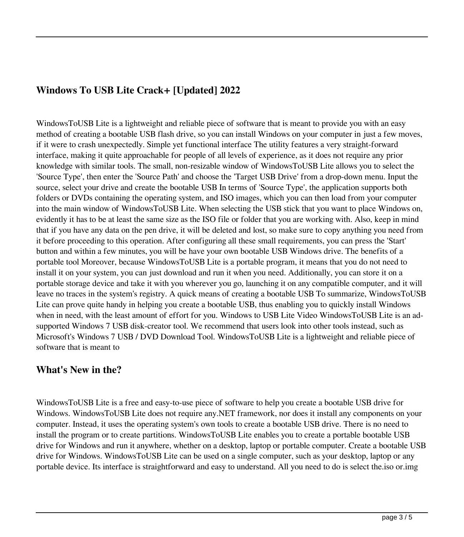## **Windows To USB Lite Crack+ [Updated] 2022**

WindowsToUSB Lite is a lightweight and reliable piece of software that is meant to provide you with an easy method of creating a bootable USB flash drive, so you can install Windows on your computer in just a few moves, if it were to crash unexpectedly. Simple yet functional interface The utility features a very straight-forward interface, making it quite approachable for people of all levels of experience, as it does not require any prior knowledge with similar tools. The small, non-resizable window of WindowsToUSB Lite allows you to select the 'Source Type', then enter the 'Source Path' and choose the 'Target USB Drive' from a drop-down menu. Input the source, select your drive and create the bootable USB In terms of 'Source Type', the application supports both folders or DVDs containing the operating system, and ISO images, which you can then load from your computer into the main window of WindowsToUSB Lite. When selecting the USB stick that you want to place Windows on, evidently it has to be at least the same size as the ISO file or folder that you are working with. Also, keep in mind that if you have any data on the pen drive, it will be deleted and lost, so make sure to copy anything you need from it before proceeding to this operation. After configuring all these small requirements, you can press the 'Start' button and within a few minutes, you will be have your own bootable USB Windows drive. The benefits of a portable tool Moreover, because WindowsToUSB Lite is a portable program, it means that you do not need to install it on your system, you can just download and run it when you need. Additionally, you can store it on a portable storage device and take it with you wherever you go, launching it on any compatible computer, and it will leave no traces in the system's registry. A quick means of creating a bootable USB To summarize, WindowsToUSB Lite can prove quite handy in helping you create a bootable USB, thus enabling you to quickly install Windows when in need, with the least amount of effort for you. Windows to USB Lite Video WindowsToUSB Lite is an adsupported Windows 7 USB disk-creator tool. We recommend that users look into other tools instead, such as Microsoft's Windows 7 USB / DVD Download Tool. WindowsToUSB Lite is a lightweight and reliable piece of software that is meant to

#### **What's New in the?**

WindowsToUSB Lite is a free and easy-to-use piece of software to help you create a bootable USB drive for Windows. WindowsToUSB Lite does not require any.NET framework, nor does it install any components on your computer. Instead, it uses the operating system's own tools to create a bootable USB drive. There is no need to install the program or to create partitions. WindowsToUSB Lite enables you to create a portable bootable USB drive for Windows and run it anywhere, whether on a desktop, laptop or portable computer. Create a bootable USB drive for Windows. WindowsToUSB Lite can be used on a single computer, such as your desktop, laptop or any portable device. Its interface is straightforward and easy to understand. All you need to do is select the.iso or.img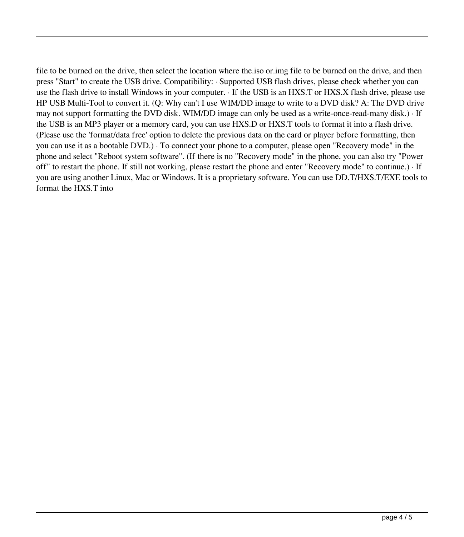file to be burned on the drive, then select the location where the.iso or.img file to be burned on the drive, and then press "Start" to create the USB drive. Compatibility: · Supported USB flash drives, please check whether you can use the flash drive to install Windows in your computer. · If the USB is an HXS.T or HXS.X flash drive, please use HP USB Multi-Tool to convert it. (Q: Why can't I use WIM/DD image to write to a DVD disk? A: The DVD drive may not support formatting the DVD disk. WIM/DD image can only be used as a write-once-read-many disk.) · If the USB is an MP3 player or a memory card, you can use HXS.D or HXS.T tools to format it into a flash drive. (Please use the 'format/data free' option to delete the previous data on the card or player before formatting, then you can use it as a bootable DVD.) · To connect your phone to a computer, please open "Recovery mode" in the phone and select "Reboot system software". (If there is no "Recovery mode" in the phone, you can also try "Power off" to restart the phone. If still not working, please restart the phone and enter "Recovery mode" to continue.) · If you are using another Linux, Mac or Windows. It is a proprietary software. You can use DD.T/HXS.T/EXE tools to format the HXS.T into